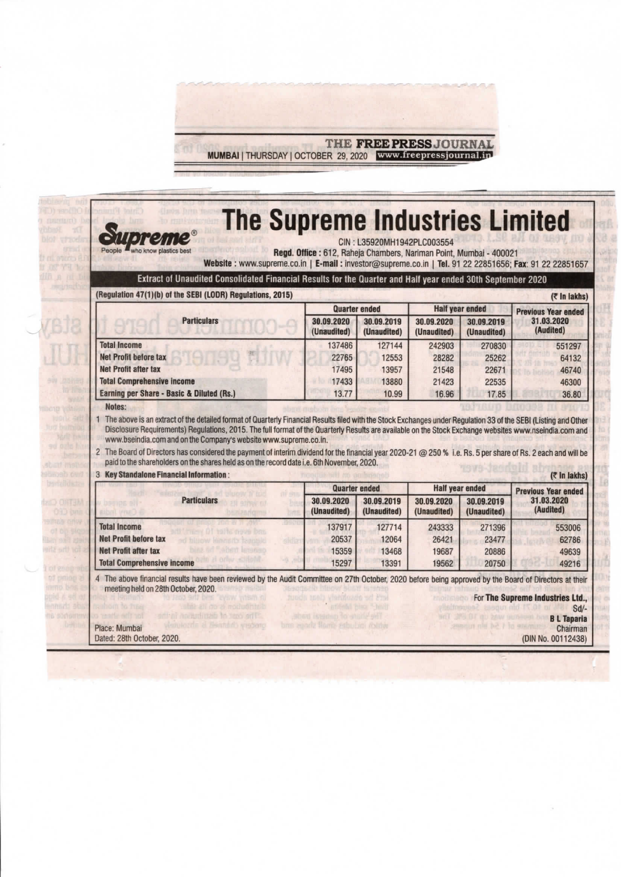

| Extract of Unaudited Consolidated Financial Results for the Quarter and Half year ended 30th September 2020                                                                                                                                                                                                                                                                                                                                                                                                                                                                                                           |                                                   |                           |                           |                                                     |                                                                                    |
|-----------------------------------------------------------------------------------------------------------------------------------------------------------------------------------------------------------------------------------------------------------------------------------------------------------------------------------------------------------------------------------------------------------------------------------------------------------------------------------------------------------------------------------------------------------------------------------------------------------------------|---------------------------------------------------|---------------------------|---------------------------|-----------------------------------------------------|------------------------------------------------------------------------------------|
| (Regulation 47(1)(b) of the SEBI (LODR) Regulations, 2015)                                                                                                                                                                                                                                                                                                                                                                                                                                                                                                                                                            | <b>Quarter ended</b>                              |                           | <b>Half year ended</b>    |                                                     | (₹ In lakhs)                                                                       |
| <b>Particulars</b>                                                                                                                                                                                                                                                                                                                                                                                                                                                                                                                                                                                                    | 30.09.2020<br>(Unaudited)                         | 30.09.2019<br>(Unaudited) | 30.09.2020<br>(Unaudited) | 30.09.2019<br>(Unaudited)                           | <b>Previous Year ended</b><br>31.03.2020<br>(Audited)                              |
| <b>Total Income</b>                                                                                                                                                                                                                                                                                                                                                                                                                                                                                                                                                                                                   | 137486                                            | 127144                    | 242903                    | 270830                                              | 551297                                                                             |
| <b>Net Profit before tax</b>                                                                                                                                                                                                                                                                                                                                                                                                                                                                                                                                                                                          | 22765                                             | 12553                     | 28282                     | 25262                                               | 64132                                                                              |
| <b>Net Profit after tax</b>                                                                                                                                                                                                                                                                                                                                                                                                                                                                                                                                                                                           | 17495                                             | 13957                     | 21548                     | 22671                                               | 46740                                                                              |
|                                                                                                                                                                                                                                                                                                                                                                                                                                                                                                                                                                                                                       |                                                   |                           | 21423                     | 22535                                               | 46300                                                                              |
| <b>Total Comprehensive income</b>                                                                                                                                                                                                                                                                                                                                                                                                                                                                                                                                                                                     | 17433                                             | 13880                     |                           |                                                     |                                                                                    |
| Earning per Share - Basic & Diluted (Rs.)<br>Notes:<br>The above is an extract of the detailed format of Quarterly Financial Results filed with the Stock Exchanges under Regulation 33 of the SEBI (Listing and Other<br>Disclosure Requirements) Regulations, 2015. The full format of the Quarterly Results are available on the Stock Exchange websites www.nseindia.com and<br>www.bseindia.com and on the Company's website www.supreme.co.in.<br>2 The Board of Directors has considered the payment of interim dividend for the financial year 2020-21 @ 250 % i.e. Rs. 5 per share of Rs. 2 each and will be | 13.77                                             | 10.99                     | 16.96                     | 17.85                                               |                                                                                    |
| paid to the shareholders on the shares held as on the record date i.e. 6th November, 2020.<br><b>3 Key Standalone Financial Information:</b>                                                                                                                                                                                                                                                                                                                                                                                                                                                                          |                                                   |                           |                           |                                                     |                                                                                    |
| <b>Particulars</b>                                                                                                                                                                                                                                                                                                                                                                                                                                                                                                                                                                                                    | <b>Quarter ended</b><br>30.09.2020<br>(Unaudited) | 30.09.2019<br>(Unaudited) | 30.09.2020<br>(Unaudited) | <b>Half year ended</b><br>30.09.2019<br>(Unaudited) | 31.03.2020<br>(Audited)                                                            |
| <b>Total Income</b>                                                                                                                                                                                                                                                                                                                                                                                                                                                                                                                                                                                                   | 137917                                            | 127714                    | 243333                    | 271396                                              |                                                                                    |
| <b>Net Profit before tax</b>                                                                                                                                                                                                                                                                                                                                                                                                                                                                                                                                                                                          | 20537<br>sildb                                    | 12064                     | 26421                     | 23477                                               |                                                                                    |
| <b>Net Profit after tax</b><br><b>Total Comprehensive income</b>                                                                                                                                                                                                                                                                                                                                                                                                                                                                                                                                                      | 15359<br>15297                                    | 13468<br>13391            | 19687<br>19562            | 20886<br>20750                                      | 36.80<br>$($ ₹ in lakhs)<br><b>Previous Year ended</b><br>553006<br>62786<br>49639 |